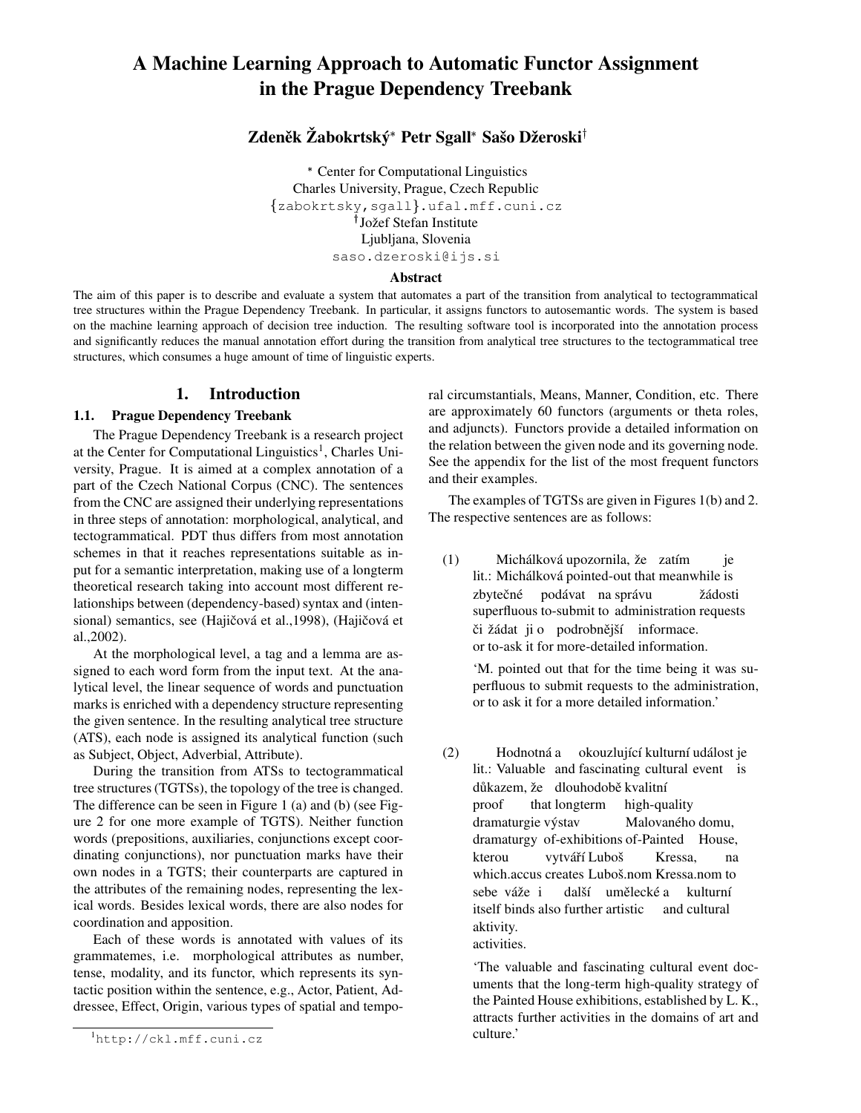# **A Machine Learning Approach to Automatic Functor Assignment in the Prague Dependency Treebank**

## $\mathbf{Z}$ deněk  $\check{\mathbf{Z}}$ abokrtský\* Petr Sgall\* Sašo Džeroski<sup>†</sup>

- Center for Computational Linguistics Charles University, Prague, Czech Republic  ${zabokrtsky,sgall}.$ ufal.mff.cuni.cz <sup>†</sup> Jožef Stefan Institute Ljubljana, Slovenia saso.dzeroski@ijs.si

#### **Abstract**

The aim of this paper is to describe and evaluate a system that automates a part of the transition from analytical to tectogrammatical tree structures within the Prague Dependency Treebank. In particular, it assigns functors to autosemantic words. The system is based on the machine learning approach of decision tree induction. The resulting software tool is incorporated into the annotation process and significantly reduces the manual annotation effort during the transition from analytical tree structures to the tectogrammatical tree structures, which consumes a huge amount of time of linguistic experts.

## **1. Introduction**

## **1.1. Prague Dependency Treebank**

The Prague Dependency Treebank is a research project at the Center for Computational Linguistics<sup>1</sup>, Charles University, Prague. It is aimed at a complex annotation of a part of the Czech National Corpus (CNC). The sentences from the CNC are assigned their underlying representations in three steps of annotation: morphological, analytical, and tectogrammatical. PDT thus differs from most annotation schemes in that it reaches representations suitable as input for a semantic interpretation, making use of a longterm theoretical research taking into account most different relationships between (dependency-based) syntax and (intensional) semantics, see (Hajičová et al.,1998), (Hajičová et al.,2002).

At the morphological level, a tag and a lemma are assigned to each word form from the input text. At the analytical level, the linear sequence of words and punctuation marks is enriched with a dependency structure representing the given sentence. In the resulting analytical tree structure (ATS), each node is assigned its analytical function (such as Subject, Object, Adverbial, Attribute).

During the transition from ATSs to tectogrammatical tree structures(TGTSs), the topology of the tree is changed. The difference can be seen in Figure 1 (a) and (b) (see Figure 2 for one more example of TGTS). Neither function words (prepositions, auxiliaries, conjunctions except coordinating conjunctions), nor punctuation marks have their own nodes in a TGTS; their counterparts are captured in the attributes of the remaining nodes, representing the lexical words. Besides lexical words, there are also nodes for coordination and apposition.

Each of these words is annotated with values of its grammatemes, i.e. morphological attributes as number, tense, modality, and its functor, which represents its syntactic position within the sentence, e.g., Actor, Patient, Addressee, Effect, Origin, various types of spatial and temporal circumstantials, Means, Manner, Condition, etc. There are approximately 60 functors (arguments or theta roles, and adjuncts). Functors provide a detailed information on the relation between the given node and its governing node. See the appendix for the list of the most frequent functors and their examples.

The examples of TGTSs are given in Figures 1(b) and 2. The respective sentences are as follows:

(1) lit.: Michálková pointed-out that meanwhile is Michálková upozornila, že zatím je zbytečné superfluous to-submit to administration requests podávat na správu žádosti či žádat ji o podrobnější informace. or to-ask it for more-detailed information.

'M. pointed out that for the time being it was superfluous to submit requests to the administration, or to ask it for a more detailed information.'

(2) lit.: Valuable and fascinating cultural event is Hodnotná a okouzlující kulturní událost je důkazem, že dlouhodobě kvalitní proof that longterm high-quality dramaturgie výstav dramaturgy of-exhibitions of-Painted House, Malovaného domu, kterou which.accus creates Luboš.nom Kressa.nom to vytváří Luboš Kressa, na sebe váže i itself binds also further artistic další umělecké a and cultural kulturní aktivity. activities.

'The valuable and fascinating cultural event documents that the long-term high-quality strategy of the Painted House exhibitions, established by L. K., attracts further activities in the domains of art and culture.'

<sup>1</sup>http://ckl.mff.cuni.cz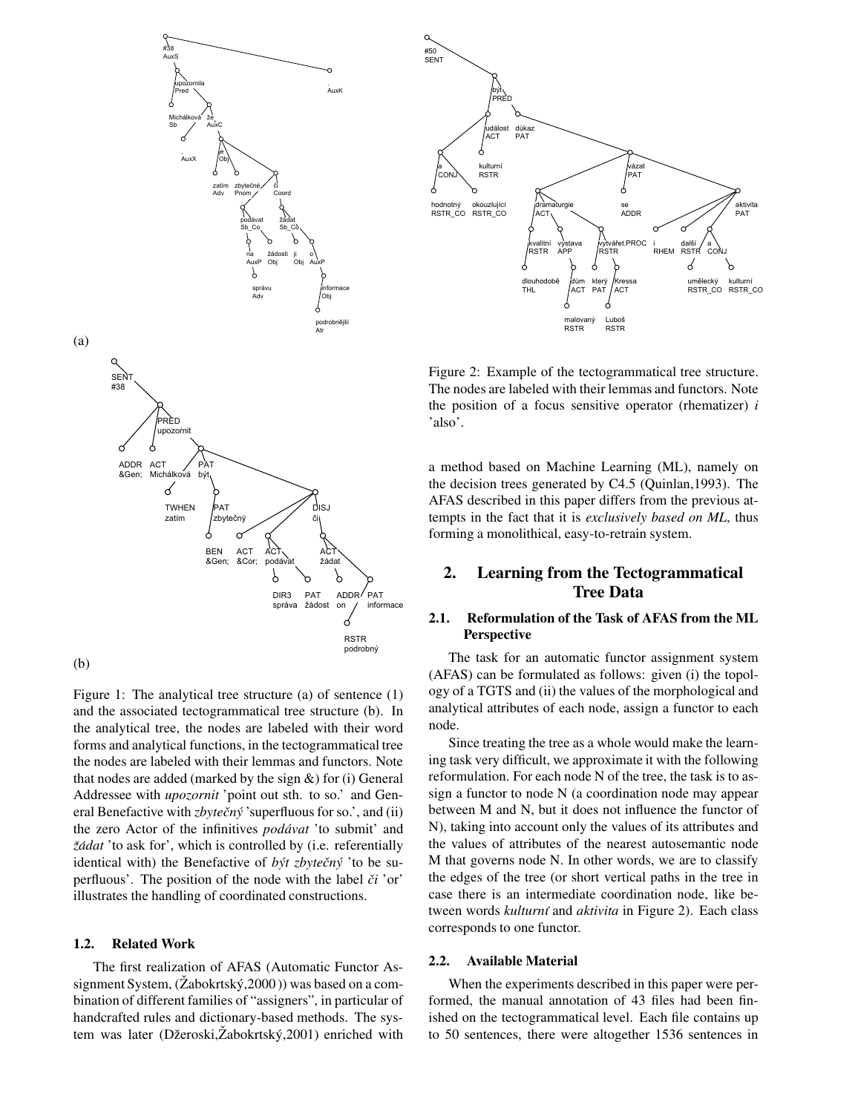

Figure 1: The analytical tree structure (a) of sentence (1) and the associated tectogrammatical tree structure (b). In the analytical tree, the nodes are labeled with their word forms and analytical functions, in the tectogrammatical tree the nodes are labeled with their lemmas and functors. Note that nodes are added (marked by the sign  $\&$ ) for (i) General Addressee with *upozornit* 'point out sth. to so.' and General Benefactive with *zbytečný* 'superfluous for so.', and (ii) the zero Actor of the infinitives *podavat ´* 'to submit' and *žádat* 'to ask for', which is controlled by (i.e. referentially identical with) the Benefactive of *být zbytečný* 'to be superfluous'. The position of the node with the label  $\check{c}i$  'or' illustrates the handling of coordinated constructions.

## **1.2. Related Work**

The first realization of AFAS (Automatic Functor Assignment System,  $(Zabokrtský, 2000)$  was based on a combination of different families of "assigners", in particular of handcrafted rules and dictionary-based methods. The system was later (Džeroski, Žabokrtský, 2001) enriched with



Figure 2: Example of the tectogrammatical tree structure. The nodes are labeled with their lemmas and functors. Note the position of a focus sensitive operator (rhematizer) *i* 'also'.

a method based on Machine Learning (ML), namely on the decision trees generated by C4.5 (Quinlan,1993). The AFAS described in this paper differs from the previous attempts in the fact that it is *exclusively based on ML*, thus forming a monolithical, easy-to-retrain system.

## **2. Learning from the Tectogrammatical Tree Data**

## **2.1. Reformulation of the Task of AFAS from the ML Perspective**

The task for an automatic functor assignment system (AFAS) can be formulated as follows: given (i) the topology of a TGTS and (ii) the values of the morphological and analytical attributes of each node, assign a functor to each node.

Since treating the tree as a whole would make the learning task very difficult, we approximate it with the following reformulation. For each node N of the tree, the task is to assign a functor to node N (a coordination node may appear between M and N, but it does not influence the functor of N), taking into account only the values of its attributes and the values of attributes of the nearest autosemantic node M that governs node N. In other words, we are to classify the edges of the tree (or short vertical paths in the tree in case there is an intermediate coordination node, like between words *kulturní* and *aktivita* in Figure 2). Each class corresponds to one functor.

#### **2.2. Available Material**

When the experiments described in this paper were performed, the manual annotation of 43 files had been finished on the tectogrammatical level. Each file contains up to 50 sentences, there were altogether 1536 sentences in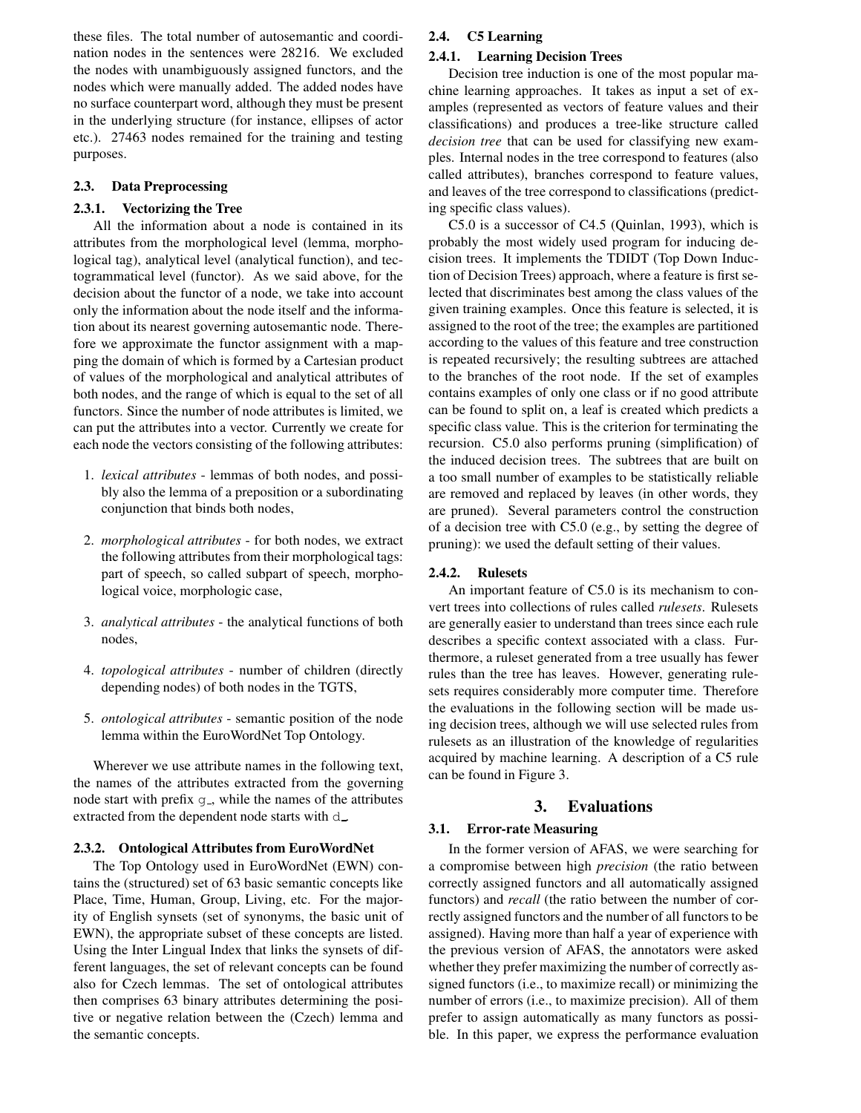these files. The total number of autosemantic and coordination nodes in the sentences were 28216. We excluded the nodes with unambiguously assigned functors, and the nodes which were manually added. The added nodes have no surface counterpart word, although they must be present in the underlying structure (for instance, ellipses of actor etc.). 27463 nodes remained for the training and testing purposes.

### **2.3. Data Preprocessing**

#### **2.3.1. Vectorizing the Tree**

All the information about a node is contained in its attributes from the morphological level (lemma, morphological tag), analytical level (analytical function), and tectogrammatical level (functor). As we said above, for the decision about the functor of a node, we take into account only the information about the node itself and the information about its nearest governing autosemantic node. Therefore we approximate the functor assignment with a mapping the domain of which is formed by a Cartesian product of values of the morphological and analytical attributes of both nodes, and the range of which is equal to the set of all functors. Since the number of node attributes is limited, we can put the attributes into a vector. Currently we create for each node the vectors consisting of the following attributes:

- 1. *lexical attributes* lemmas of both nodes, and possibly also the lemma of a preposition or a subordinating conjunction that binds both nodes,
- 2. *morphological attributes* for both nodes, we extract the following attributes from their morphological tags: part of speech, so called subpart of speech, morphological voice, morphologic case,
- 3. *analytical attributes* the analytical functions of both nodes,
- 4. *topological attributes* number of children (directly depending nodes) of both nodes in the TGTS,
- 5. *ontological attributes* semantic position of the node lemma within the EuroWordNet Top Ontology.

Wherever we use attribute names in the following text, the names of the attributes extracted from the governing node start with prefix  $q_$ , while the names of the attributes extracted from the dependent node starts with d\_

#### **2.3.2. Ontological Attributes from EuroWordNet**

The Top Ontology used in EuroWordNet (EWN) contains the (structured) set of 63 basic semantic concepts like Place, Time, Human, Group, Living, etc. For the majority of English synsets (set of synonyms, the basic unit of EWN), the appropriate subset of these concepts are listed. Using the Inter Lingual Index that links the synsets of different languages, the set of relevant concepts can be found also for Czech lemmas. The set of ontological attributes then comprises 63 binary attributes determining the positive or negative relation between the (Czech) lemma and the semantic concepts.

#### **2.4. C5 Learning**

#### **2.4.1. Learning Decision Trees**

Decision tree induction is one of the most popular machine learning approaches. It takes as input a set of examples (represented as vectors of feature values and their classifications) and produces a tree-like structure called *decision tree* that can be used for classifying new examples. Internal nodes in the tree correspond to features (also called attributes), branches correspond to feature values, and leaves of the tree correspond to classifications (predicting specific class values).

C5.0 is a successor of C4.5 (Quinlan, 1993), which is probably the most widely used program for inducing decision trees. It implements the TDIDT (Top Down Induction of Decision Trees) approach, where a feature is first selected that discriminates best among the class values of the given training examples. Once this feature is selected, it is assigned to the root of the tree; the examples are partitioned according to the values of this feature and tree construction is repeated recursively; the resulting subtrees are attached to the branches of the root node. If the set of examples contains examples of only one class or if no good attribute can be found to split on, a leaf is created which predicts a specific class value. This is the criterion for terminating the recursion. C5.0 also performs pruning (simplification) of the induced decision trees. The subtrees that are built on a too small number of examples to be statistically reliable are removed and replaced by leaves (in other words, they are pruned). Several parameters control the construction of a decision tree with C5.0 (e.g., by setting the degree of pruning): we used the default setting of their values.

#### **2.4.2. Rulesets**

An important feature of C5.0 is its mechanism to convert trees into collections of rules called *rulesets*. Rulesets are generally easier to understand than trees since each rule describes a specific context associated with a class. Furthermore, a ruleset generated from a tree usually has fewer rules than the tree has leaves. However, generating rulesets requires considerably more computer time. Therefore the evaluations in the following section will be made using decision trees, although we will use selected rules from rulesets as an illustration of the knowledge of regularities acquired by machine learning. A description of a C5 rule can be found in Figure 3.

## **3. Evaluations**

#### **3.1. Error-rate Measuring**

In the former version of AFAS, we were searching for a compromise between high *precision* (the ratio between correctly assigned functors and all automatically assigned functors) and *recall* (the ratio between the number of correctly assigned functors and the number of all functors to be assigned). Having more than half a year of experience with the previous version of AFAS, the annotators were asked whether they prefer maximizing the number of correctly assigned functors (i.e., to maximize recall) or minimizing the number of errors (i.e., to maximize precision). All of them prefer to assign automatically as many functors as possible. In this paper, we express the performance evaluation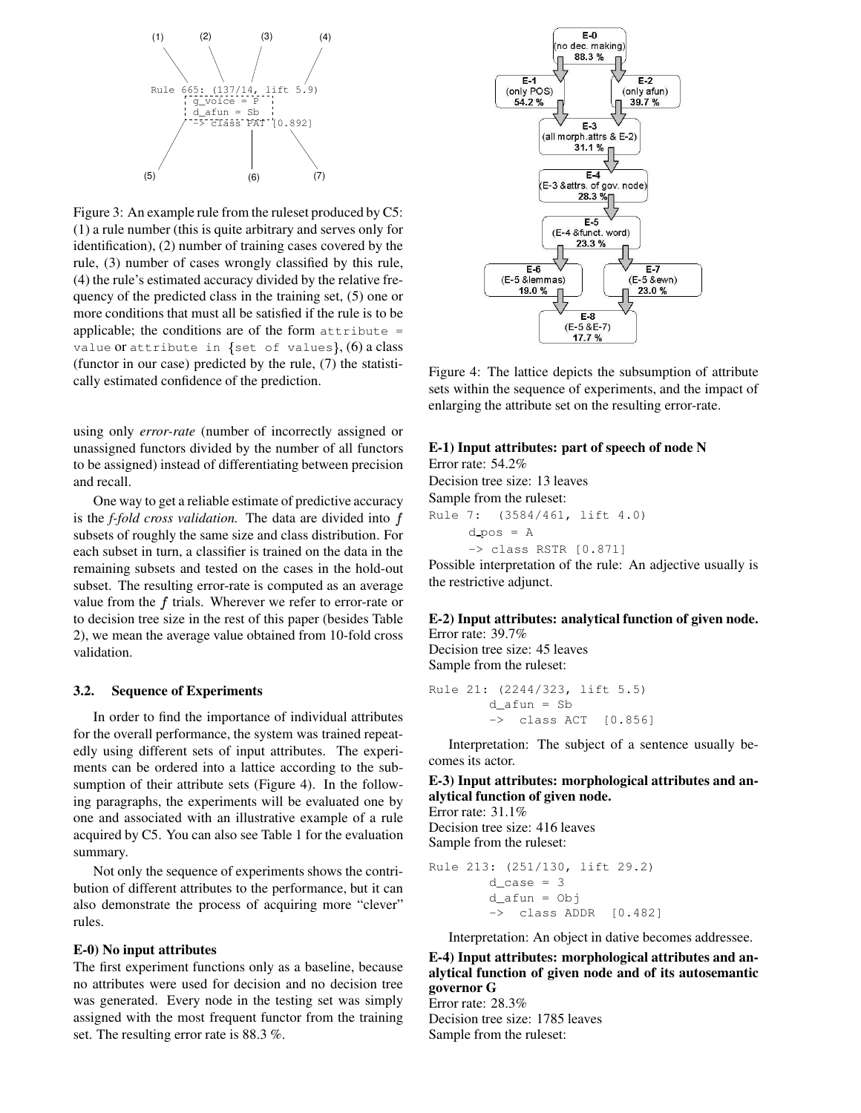

Figure 3: An example rule from the ruleset produced by C5: (1) a rule number (this is quite arbitrary and serves only for identification), (2) number of training cases covered by the rule, (3) number of cases wrongly classified by this rule, (4) the rule's estimated accuracy divided by the relative frequency of the predicted class in the training set, (5) one or more conditions that must all be satisfied if the rule is to be applicable; the conditions are of the form  $attribute =$ value or attribute in {set of values},  $(6)$  a class (functor in our case) predicted by the rule, (7) the statistically estimated confidence of the prediction.

using only *error-rate* (number of incorrectly assigned or unassigned functors divided by the number of all functors to be assigned) instead of differentiating between precision and recall.

One way to get a reliable estimate of predictive accuracy is the *f-fold cross validation*. The data are divided into  $f$  Rule 7: subsets of roughly the same size and class distribution. For each subset in turn, a classifier is trained on the data in the remaining subsets and tested on the cases in the hold-out subset. The resulting error-rate is computed as an average value from the  $f$  trials. Wherever we refer to error-rate or to decision tree size in the rest of this paper (besides Table 2), we mean the average value obtained from 10-fold cross validation.

#### **3.2. Sequence of Experiments**

In order to find the importance of individual attributes for the overall performance, the system was trained repeatedly using different sets of input attributes. The experiments can be ordered into a lattice according to the subsumption of their attribute sets (Figure 4). In the following paragraphs, the experiments will be evaluated one by one and associated with an illustrative example of a rule acquired by C5. You can also see Table 1 for the evaluation summary.

Not only the sequence of experiments shows the contribution of different attributes to the performance, but it can also demonstrate the process of acquiring more "clever" rules.

#### **E-0) No input attributes**

The first experiment functions only as a baseline, because no attributes were used for decision and no decision tree was generated. Every node in the testing set was simply assigned with the most frequent functor from the training set. The resulting error rate is 88.3 %.



Figure 4: The lattice depicts the subsumption of attribute sets within the sequence of experiments, and the impact of enlarging the attribute set on the resulting error-rate.

## **E-1) Input attributes: part of speech of node N**

Error rate: 54.2% Decision tree size: 13 leaves Sample from the ruleset: (3584/461, lift 4.0)  $d$ -pos = A -> class RSTR [0.871]

Possible interpretation of the rule: An adjective usually is the restrictive adjunct.

#### **E-2) Input attributes: analytical function of given node.**

Error rate: 39.7% Decision tree size: 45 leaves Sample from the ruleset:

```
Rule 21: (2244/323, lift 5.5)
        d_afun = Sb
        -> class ACT [0.856]
```
Interpretation: The subject of a sentence usually becomes its actor.

## **E-3) Input attributes: morphological attributes and analytical function of given node.**

Error rate: 31.1% Decision tree size: 416 leaves Sample from the ruleset:

Rule 213: (251/130, lift 29.2)  $d$ <sub>case</sub> = 3  $d_{afun} = 0$ -> class ADDR [0.482]

Interpretation: An object in dative becomes addressee.

**E-4) Input attributes: morphological attributes and analytical function of given node and of its autosemantic governor G**

Error rate: 28.3% Decision tree size: 1785 leaves Sample from the ruleset: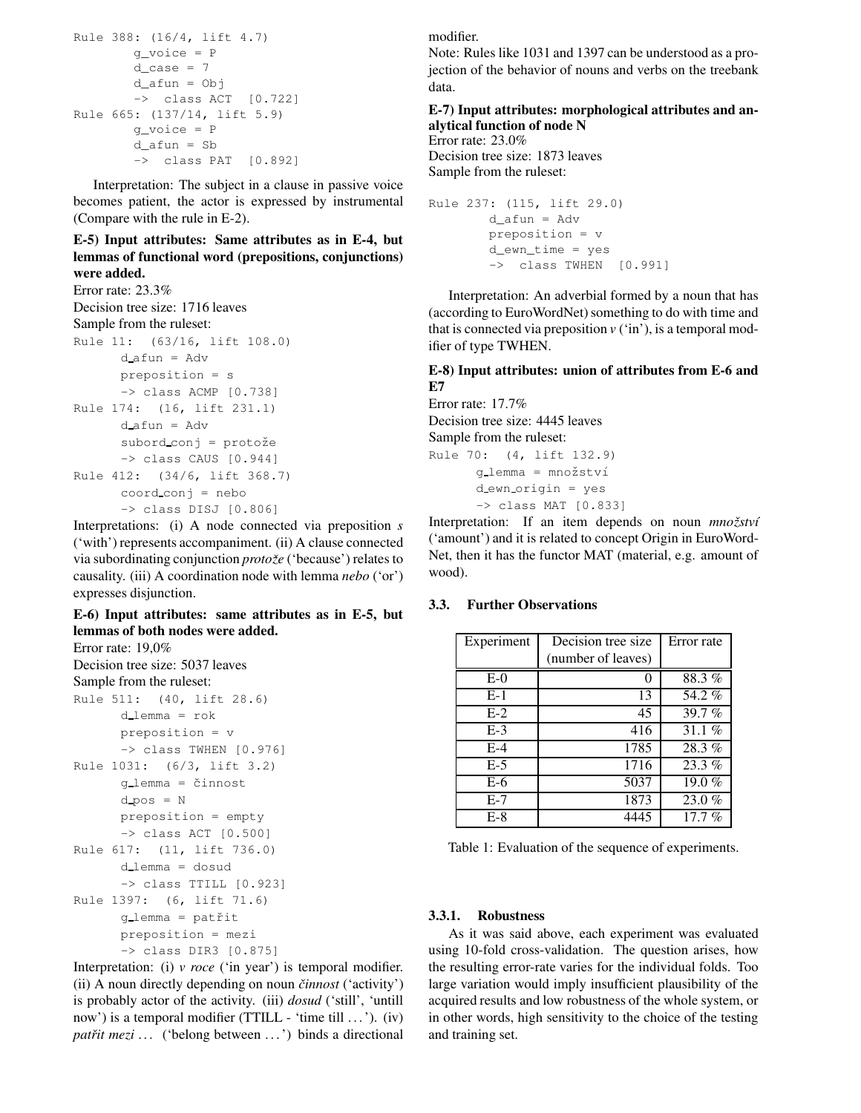```
Rule 388: (16/4, lift 4.7)
       g_voice = P
       d\_case = 7d_afun = Obj
       -> class ACT [0.722]
Rule 665: (137/14, lift 5.9)
       g_voice = P
       d afun = Sb
        -> class PAT [0.892]
```
Interpretation: The subject in a clause in passive voice becomes patient, the actor is expressed by instrumental (Compare with the rule in E-2).

**E-5) Input attributes: Same attributes as in E-4, but lemmas of functional word (prepositions, conjunctions) were added.**

Error rate: 23.3% Decision tree size: 1716 leaves Sample from the ruleset: Rule 11: (63/16, lift 108.0)  $d_{a}$ fun = Adv preposition = s -> class ACMP [0.738] Rule 174: (16, lift 231.1) d afun = Adv subord\_conj = protože  $\rightarrow$  class CAUS  $[0.944]$ Rule 412: (34/6, lift 368.7) coord conj = nebo -> class DISJ [0.806]

Interpretations: (i) A node connected via preposition *s* ('with') represents accompaniment. (ii) A clause connected via subordinating conjunction *protozeˇ* ('because') relates to causality. (iii) A coordination node with lemma *nebo* ('or') expresses disjunction.

**E-6) Input attributes: same attributes as in E-5, but lemmas of both nodes were added.** Error rate: 19,0%

```
Decision tree size: 5037 leaves
Sample from the ruleset:
Rule 511: (40, lift 28.6)
      d lemma = rok
      preposition = v
      -> class TWHEN [0.976]
Rule 1031: (6/3, lift 3.2)
      g_lemma = činnost
      d pos = Npreposition = empty
      -> class ACT [0.500]
Rule 617: (11, lift 736.0)
      d lemma = dosud
      -> class TTILL [0.923]
Rule 1397: (6, lift 71.6)
      g_lemma = patřit
      preposition = mezi
      -> class DIR3 [0.875]
```
Interpretation: (i) *v roce* ('in year') is temporal modifier. (ii) A noun directly depending on noun *cinnost ˇ* ('activity') is probably actor of the activity. (iii) *dosud* ('still', 'untill now') is a temporal modifier (TTILL - 'time till ...'). (iv) *patřit mezi* ... ('belong between ...') binds a directional modifier.

Note: Rules like 1031 and 1397 can be understood as a projection of the behavior of nouns and verbs on the treebank data.

## **E-7) Input attributes: morphological attributes and analytical function of node N**

Error rate: 23.0% Decision tree size: 1873 leaves Sample from the ruleset:

Rule 237: (115, lift 29.0) d\_afun = Adv preposition = v d\_ewn\_time = yes -> class TWHEN [0.991]

Interpretation: An adverbial formed by a noun that has (according to EuroWordNet) something to do with time and that is connected via preposition  $v$  ('in'), is a temporal modifier of type TWHEN.

## **E-8) Input attributes: union of attributes from E-6 and E7**

Error rate: 17.7% Decision tree size: 4445 leaves Sample from the ruleset: Rule 70: (4, lift 132.9) g lemma = množství d ewn origin = yes  $\rightarrow$  class MAT  $[0.833]$ 

Interpretation: If an item depends on noun *množství* ('amount') and it is related to concept Origin in EuroWord-Net, then it has the functor MAT (material, e.g. amount of wood).

## **3.3. Further Observations**

| Experiment | Decision tree size | Error rate |
|------------|--------------------|------------|
|            | (number of leaves) |            |
| $E-0$      | 0                  | 88.3%      |
| $E-1$      | 13                 | 54.2%      |
| $E-2$      | 45                 | 39.7%      |
| $E-3$      | 416                | 31.1 $%$   |
| $E-4$      | 1785               | 28.3%      |
| $E-5$      | 1716               | $23.3\%$   |
| $E-6$      | 5037               | 19.0 $%$   |
| $E-7$      | 1873               | $23.0\%$   |
| $E-8$      | 4445               | 17.7%      |

Table 1: Evaluation of the sequence of experiments.

#### **3.3.1. Robustness**

As it was said above, each experiment was evaluated using 10-fold cross-validation. The question arises, how the resulting error-rate varies for the individual folds. Too large variation would imply insufficient plausibility of the acquired results and low robustness of the whole system, or in other words, high sensitivity to the choice of the testing and training set.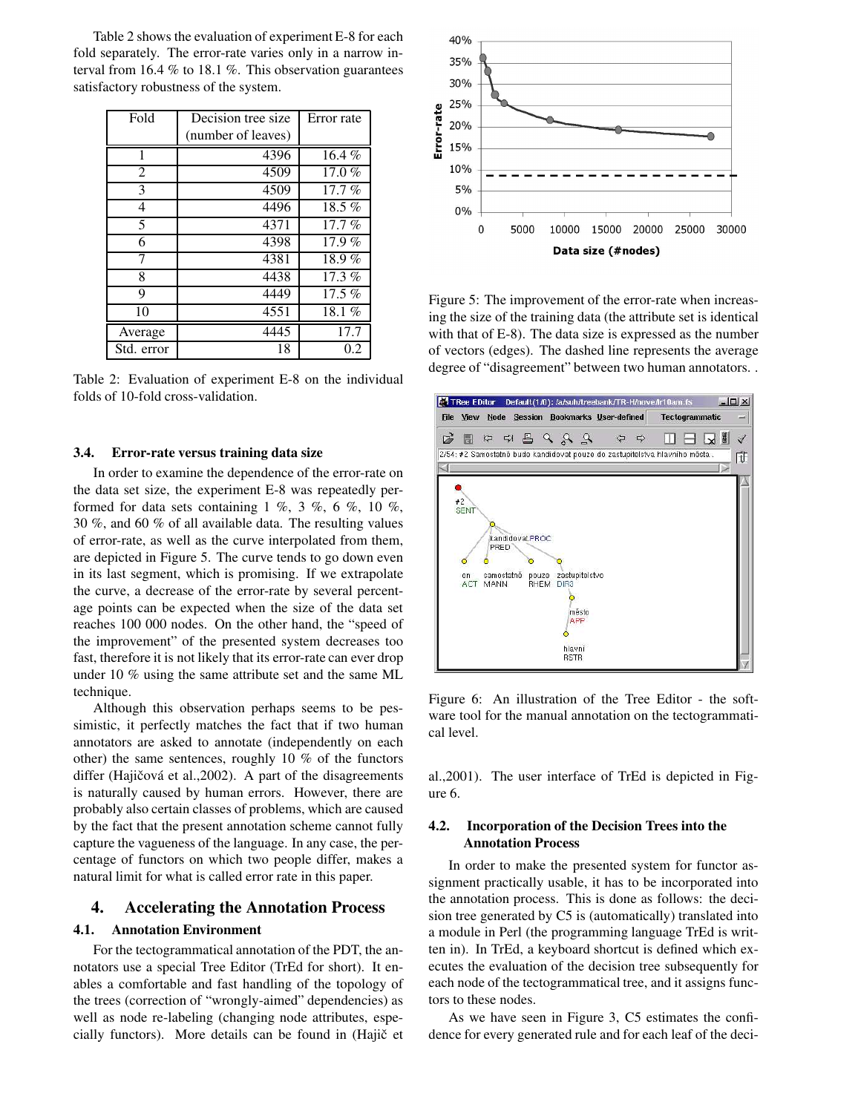Table 2 shows the evaluation of experiment E-8 for each fold separately. The error-rate varies only in a narrow interval from 16.4 % to 18.1 %. This observation guarantees satisfactory robustness of the system.

| Fold           | Decision tree size | Error rate          |
|----------------|--------------------|---------------------|
|                | (number of leaves) |                     |
| 1              | 4396               | $16.4\%$            |
| $\overline{2}$ | 4509               | $\overline{17.0}$ % |
| 3              | 4509               | $17.7\%$            |
| 4              | 4496               | $18.5\%$            |
| 5              | 4371               | $17.7\%$            |
| 6              | 4398               | 17.9%               |
| 7              | 4381               | 18.9%               |
| 8              | 4438               | $17.3\%$            |
| 9              | 4449               | 17.5 $%$            |
| 10             | 4551               | 18.1 $%$            |
| Average        | 4445               | 17.7                |
| Std. error     | 18                 | 0.2                 |

Table 2: Evaluation of experiment E-8 on the individual folds of 10-fold cross-validation.

#### **3.4. Error-rate versus training data size**

In order to examine the dependence of the error-rate on the data set size, the experiment E-8 was repeatedly performed for data sets containing  $1 \%$ ,  $3 \%$ ,  $6 \%$ ,  $10 \%$ , 30 %, and 60 % of all available data. The resulting values of error-rate, as well as the curve interpolated from them, are depicted in Figure 5. The curve tends to go down even in its last segment, which is promising. If we extrapolate the curve, a decrease of the error-rate by several percentage points can be expected when the size of the data set reaches 100 000 nodes. On the other hand, the "speed of the improvement" of the presented system decreases too fast, therefore it is not likely that its error-rate can ever drop under 10 % using the same attribute set and the same ML technique.

Although this observation perhaps seems to be pessimistic, it perfectly matches the fact that if two human annotators are asked to annotate (independently on each other) the same sentences, roughly 10 % of the functors differ (Hajičová et al.,2002). A part of the disagreements is naturally caused by human errors. However, there are probably also certain classes of problems, which are caused by the fact that the present annotation scheme cannot fully capture the vagueness of the language. In any case, the percentage of functors on which two people differ, makes a natural limit for what is called error rate in this paper.

#### **4. Accelerating the Annotation Process**

#### **4.1. Annotation Environment**

For the tectogrammatical annotation of the PDT, the annotators use a special Tree Editor (TrEd for short). It enables a comfortable and fast handling of the topology of the trees (correction of "wrongly-aimed" dependencies) as well as node re-labeling (changing node attributes, especially functors). More details can be found in (Hajič et



Figure 5: The improvement of the error-rate when increasing the size of the training data (the attribute set is identical with that of E-8). The data size is expressed as the number of vectors (edges). The dashed line represents the average degree of "disagreement" between two human annotators. .



Figure 6: An illustration of the Tree Editor - the software tool for the manual annotation on the tectogrammatical level.

al.,2001). The user interface of TrEd is depicted in Figure 6.

## **4.2. Incorporation of the Decision Trees into the Annotation Process**

In order to make the presented system for functor assignment practically usable, it has to be incorporated into the annotation process. This is done as follows: the decision tree generated by C5 is (automatically) translated into a module in Perl (the programming language TrEd is written in). In TrEd, a keyboard shortcut is defined which executes the evaluation of the decision tree subsequently for each node of the tectogrammatical tree, and it assigns functors to these nodes.

As we have seen in Figure 3, C5 estimates the confidence for every generated rule and for each leaf of the deci-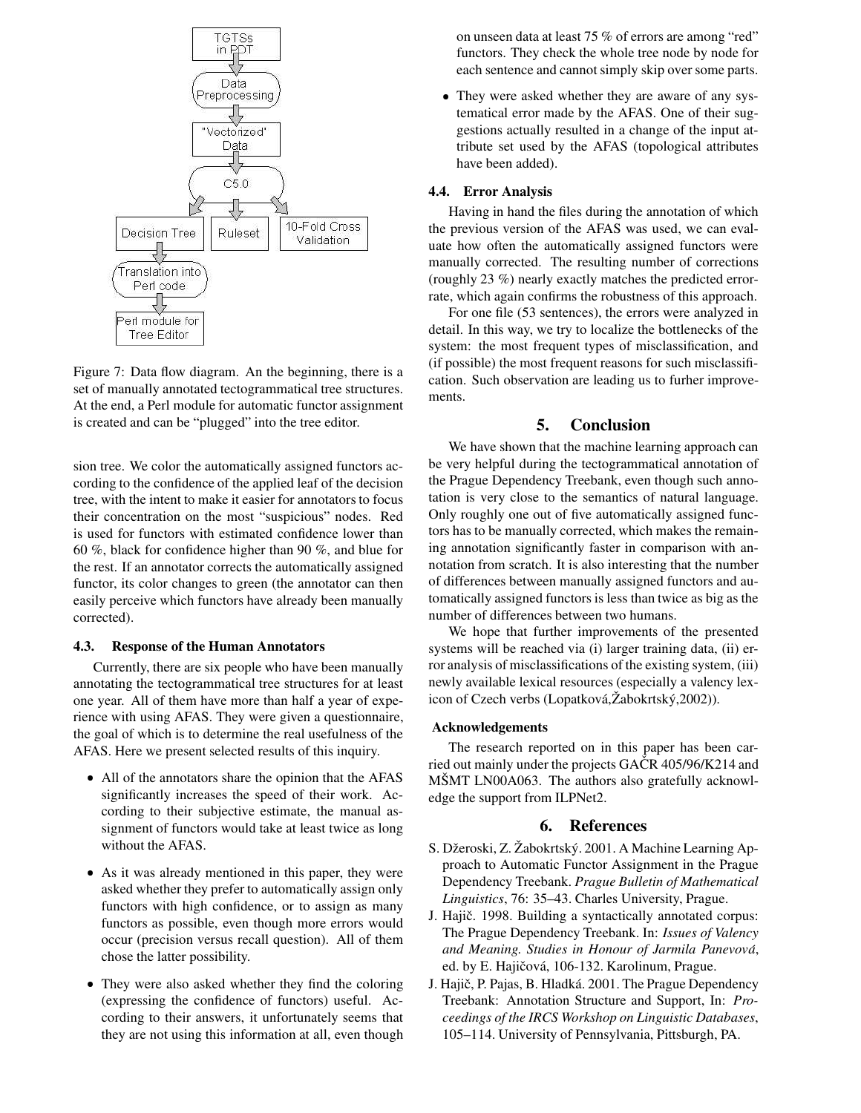

Figure 7: Data flow diagram. An the beginning, there is a set of manually annotated tectogrammatical tree structures. At the end, a Perl module for automatic functor assignment is created and can be "plugged" into the tree editor.

sion tree. We color the automatically assigned functors according to the confidence of the applied leaf of the decision tree, with the intent to make it easier for annotators to focus their concentration on the most "suspicious" nodes. Red is used for functors with estimated confidence lower than 60 %, black for confidence higher than 90 %, and blue for the rest. If an annotator corrects the automatically assigned functor, its color changes to green (the annotator can then easily perceive which functors have already been manually corrected).

#### **4.3. Response of the Human Annotators**

Currently, there are six people who have been manually annotating the tectogrammatical tree structures for at least one year. All of them have more than half a year of experience with using AFAS. They were given a questionnaire, the goal of which is to determine the real usefulness of the AFAS. Here we present selected results of this inquiry.

- All of the annotators share the opinion that the AFAS significantly increases the speed of their work. According to their subjective estimate, the manual assignment of functors would take at least twice as long without the AFAS.
- As it was already mentioned in this paper, they were asked whether they prefer to automatically assign only functors with high confidence, or to assign as many functors as possible, even though more errors would occur (precision versus recall question). All of them chose the latter possibility.
- They were also asked whether they find the coloring (expressing the confidence of functors) useful. According to their answers, it unfortunately seems that they are not using this information at all, even though

on unseen data at least 75 % of errors are among "red" functors. They check the whole tree node by node for each sentence and cannot simply skip over some parts.

 They were asked whether they are aware of any systematical error made by the AFAS. One of their suggestions actually resulted in a change of the input attribute set used by the AFAS (topological attributes have been added).

#### **4.4. Error Analysis**

Having in hand the files during the annotation of which the previous version of the AFAS was used, we can evaluate how often the automatically assigned functors were manually corrected. The resulting number of corrections (roughly 23 %) nearly exactly matches the predicted errorrate, which again confirms the robustness of this approach.

For one file (53 sentences), the errors were analyzed in detail. In this way, we try to localize the bottlenecks of the system: the most frequent types of misclassification, and (if possible) the most frequent reasons for such misclassification. Such observation are leading us to furher improvements.

## **5. Conclusion**

We have shown that the machine learning approach can be very helpful during the tectogrammatical annotation of the Prague Dependency Treebank, even though such annotation is very close to the semantics of natural language. Only roughly one out of five automatically assigned functors has to be manually corrected, which makes the remaining annotation significantly faster in comparison with annotation from scratch. It is also interesting that the number of differences between manually assigned functors and automatically assigned functors is less than twice as big as the number of differences between two humans.

We hope that further improvements of the presented systems will be reached via (i) larger training data, (ii) error analysis of misclassifications of the existing system, (iii) newly available lexical resources (especially a valency lexicon of Czech verbs (Lopatková, Zabokrtský, 2002)).

#### **Acknowledgements**

The research reported on in this paper has been carried out mainly under the projects GAČR 405/96/K214 and MŠMT LN00A063. The authors also gratefully acknowledge the support from ILPNet2.

#### **6. References**

- S. Džeroski, Z. Žabokrtský. 2001. A Machine Learning Approach to Automatic Functor Assignment in the Prague Dependency Treebank. *Prague Bulletin of Mathematical Linguistics*, 76: 35–43. Charles University, Prague.
- J. Hajič. 1998. Building a syntactically annotated corpus: The Prague Dependency Treebank. In: *Issues of Valency and Meaning. Studies in Honour of Jarmila Panevova´*, ed. by E. Hajičová, 106-132. Karolinum, Prague.
- J. Hajič, P. Pajas, B. Hladká. 2001. The Prague Dependency Treebank: Annotation Structure and Support, In: *Proceedings of the IRCS Workshop on Linguistic Databases*, 105–114. University of Pennsylvania, Pittsburgh, PA.